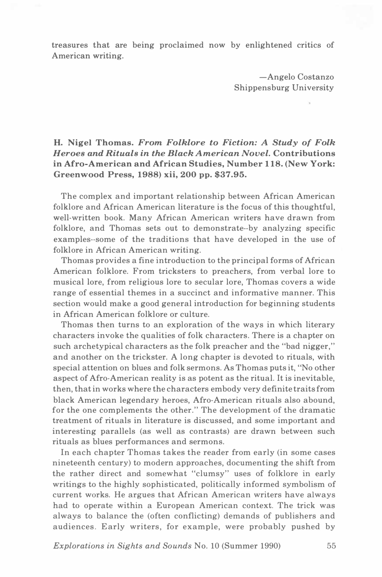treasures that are being proclaimed now by enlightened critics of American writing.

> -Angelo Costanzo Shippensburg University

## H. Nigel Thomas. From Folklore to Fiction: A Study of Folk Heroes and Rituals in the Black A merican Novel. Contributions in Afro-American and African Studies, Number 1 18. (New York: Greenwood Press, 1 988) xii, 200 pp. \$37.95.

The complex and important relationship between African American folklore and African American literature is the focus of this thoughtful, well-written book. Many African American writers have drawn from folklore, and Thomas sets out to demonstrate--by analyzing specific examples--some of the traditions that have developed in the use of folklore in African American writing.

Thomas provides a fine introduction to the principal forms of African American folklore. From tricksters to preachers, from verbal lore to musical lore, from religious lore to secular lore, Thomas covers a wide range of essential themes in a succinct and informative manner. This section would make a good general introduction for beginning students in African American folklore or culture.

Thomas then turns to an exploration of the ways in which literary characters invoke the qualities of folk characters . There is a chapter on such archetypical characters as the folk preacher and the "bad nigger," and another on the trickster. A long chapter is devoted to rituals, with special attention on blues and folk sermons. As Thomas puts it, "No other aspect of Afro-American reality is as potent as the ritual. It is inevitable, then, that in works where the characters embody very definite traits from black American legendary heroes, Afro-American rituals also abound, for the one complements the other." The development of the dramatic treatment of rituals in literature is discussed, and some important and interesting parallels (as well as contrasts) are drawn between such rituals as blues performances and sermons.

In each chapter Thomas takes the reader from early (in some cases nineteenth century) to modern approaches, documenting the shift from the rather direct and somewhat "clumsy" uses of folklore in early writings to the highly sophisticated, politically informed symbolism of current works. He argues that African American writers have always had to operate within a European American context. The trick was always to balance the (often conflicting) demands of publishers and audiences. Early writers, for example, were probably pushed by

Explorations in Sights and Sounds No. 10 (Summer 1990) 55